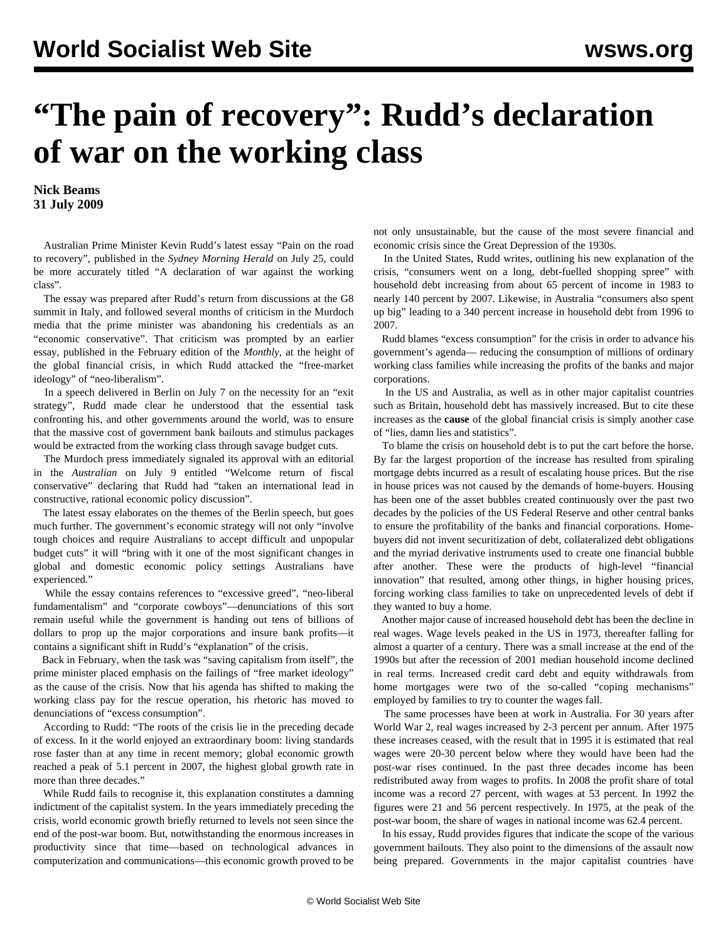## **"The pain of recovery": Rudd's declaration of war on the working class**

**Nick Beams 31 July 2009**

 Australian Prime Minister Kevin Rudd's latest essay "Pain on the road to recovery", published in the *Sydney Morning Herald* on July 25, could be more accurately titled "A declaration of war against the working class".

 The essay was prepared after Rudd's return from discussions at the G8 summit in Italy, and followed several months of criticism in the Murdoch media that the prime minister was abandoning his credentials as an "economic conservative". That criticism was prompted by an earlier essay, published in the February edition of the *Monthly*, at the height of the global financial crisis, in which Rudd attacked the "free-market ideology" of "neo-liberalism".

 In a speech delivered in Berlin on July 7 on the necessity for an "exit strategy", Rudd made clear he understood that the essential task confronting his, and other governments around the world, was to ensure that the massive cost of government bank bailouts and stimulus packages would be extracted from the working class through savage budget cuts.

 The Murdoch press immediately signaled its approval with an editorial in the *Australian* on July 9 entitled "Welcome return of fiscal conservative" declaring that Rudd had "taken an international lead in constructive, rational economic policy discussion".

 The latest essay elaborates on the themes of the Berlin speech, but goes much further. The government's economic strategy will not only "involve tough choices and require Australians to accept difficult and unpopular budget cuts" it will "bring with it one of the most significant changes in global and domestic economic policy settings Australians have experienced."

 While the essay contains references to "excessive greed", "neo-liberal fundamentalism" and "corporate cowboys"—denunciations of this sort remain useful while the government is handing out tens of billions of dollars to prop up the major corporations and insure bank profits—it contains a significant shift in Rudd's "explanation" of the crisis.

 Back in February, when the task was "saving capitalism from itself", the prime minister placed emphasis on the failings of "free market ideology" as the cause of the crisis. Now that his agenda has shifted to making the working class pay for the rescue operation, his rhetoric has moved to denunciations of "excess consumption".

 According to Rudd: "The roots of the crisis lie in the preceding decade of excess. In it the world enjoyed an extraordinary boom: living standards rose faster than at any time in recent memory; global economic growth reached a peak of 5.1 percent in 2007, the highest global growth rate in more than three decades."

 While Rudd fails to recognise it, this explanation constitutes a damning indictment of the capitalist system. In the years immediately preceding the crisis, world economic growth briefly returned to levels not seen since the end of the post-war boom. But, notwithstanding the enormous increases in productivity since that time—based on technological advances in computerization and communications—this economic growth proved to be

not only unsustainable, but the cause of the most severe financial and economic crisis since the Great Depression of the 1930s.

 In the United States, Rudd writes, outlining his new explanation of the crisis, "consumers went on a long, debt-fuelled shopping spree" with household debt increasing from about 65 percent of income in 1983 to nearly 140 percent by 2007. Likewise, in Australia "consumers also spent up big" leading to a 340 percent increase in household debt from 1996 to 2007.

 Rudd blames "excess consumption" for the crisis in order to advance his government's agenda— reducing the consumption of millions of ordinary working class families while increasing the profits of the banks and major corporations.

 In the US and Australia, as well as in other major capitalist countries such as Britain, household debt has massively increased. But to cite these increases as the **cause** of the global financial crisis is simply another case of "lies, damn lies and statistics".

 To blame the crisis on household debt is to put the cart before the horse. By far the largest proportion of the increase has resulted from spiraling mortgage debts incurred as a result of escalating house prices. But the rise in house prices was not caused by the demands of home-buyers. Housing has been one of the asset bubbles created continuously over the past two decades by the policies of the US Federal Reserve and other central banks to ensure the profitability of the banks and financial corporations. Homebuyers did not invent securitization of debt, collateralized debt obligations and the myriad derivative instruments used to create one financial bubble after another. These were the products of high-level "financial innovation" that resulted, among other things, in higher housing prices, forcing working class families to take on unprecedented levels of debt if they wanted to buy a home.

 Another major cause of increased household debt has been the decline in real wages. Wage levels peaked in the US in 1973, thereafter falling for almost a quarter of a century. There was a small increase at the end of the 1990s but after the recession of 2001 median household income declined in real terms. Increased credit card debt and equity withdrawals from home mortgages were two of the so-called "coping mechanisms" employed by families to try to counter the wages fall.

 The same processes have been at work in Australia. For 30 years after World War 2, real wages increased by 2-3 percent per annum. After 1975 these increases ceased, with the result that in 1995 it is estimated that real wages were 20-30 percent below where they would have been had the post-war rises continued. In the past three decades income has been redistributed away from wages to profits. In 2008 the profit share of total income was a record 27 percent, with wages at 53 percent. In 1992 the figures were 21 and 56 percent respectively. In 1975, at the peak of the post-war boom, the share of wages in national income was 62.4 percent.

 In his essay, Rudd provides figures that indicate the scope of the various government bailouts. They also point to the dimensions of the assault now being prepared. Governments in the major capitalist countries have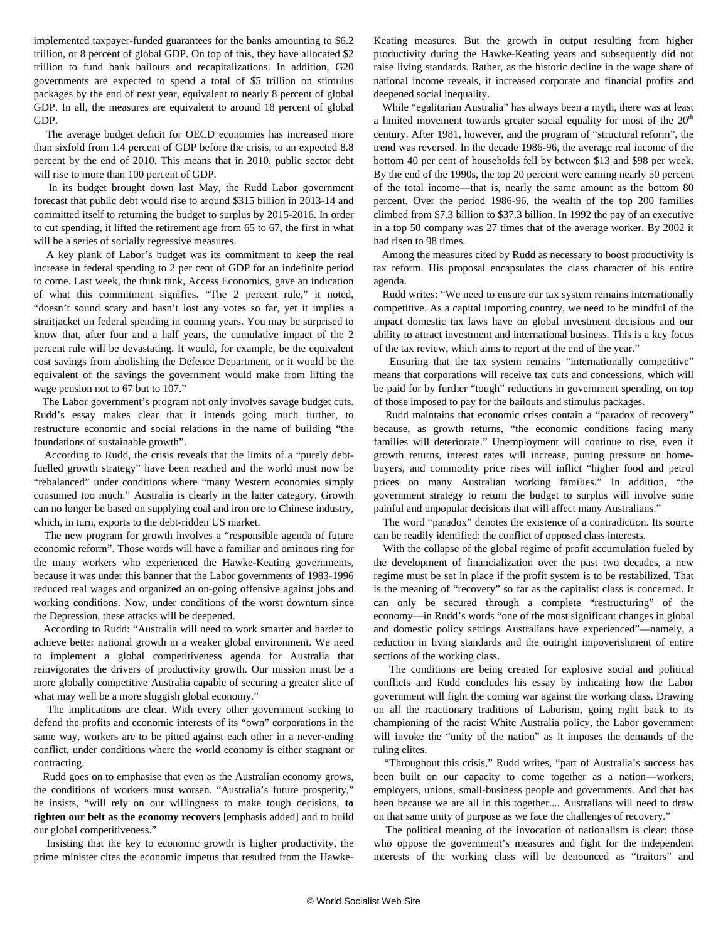implemented taxpayer-funded guarantees for the banks amounting to \$6.2 trillion, or 8 percent of global GDP. On top of this, they have allocated \$2 trillion to fund bank bailouts and recapitalizations. In addition, G20 governments are expected to spend a total of \$5 trillion on stimulus packages by the end of next year, equivalent to nearly 8 percent of global GDP. In all, the measures are equivalent to around 18 percent of global GDP.

 The average budget deficit for OECD economies has increased more than sixfold from 1.4 percent of GDP before the crisis, to an expected 8.8 percent by the end of 2010. This means that in 2010, public sector debt will rise to more than 100 percent of GDP.

 In its budget brought down last May, the Rudd Labor government forecast that public debt would rise to around \$315 billion in 2013-14 and committed itself to returning the budget to surplus by 2015-2016. In order to cut spending, it lifted the retirement age from 65 to 67, the first in what will be a series of socially regressive measures.

 A key plank of Labor's budget was its commitment to keep the real increase in federal spending to 2 per cent of GDP for an indefinite period to come. Last week, the think tank, Access Economics, gave an indication of what this commitment signifies. "The 2 percent rule," it noted, "doesn't sound scary and hasn't lost any votes so far, yet it implies a straitjacket on federal spending in coming years. You may be surprised to know that, after four and a half years, the cumulative impact of the 2 percent rule will be devastating. It would, for example, be the equivalent cost savings from abolishing the Defence Department, or it would be the equivalent of the savings the government would make from lifting the wage pension not to 67 but to 107."

 The Labor government's program not only involves savage budget cuts. Rudd's essay makes clear that it intends going much further, to restructure economic and social relations in the name of building "the foundations of sustainable growth".

 According to Rudd, the crisis reveals that the limits of a "purely debtfuelled growth strategy" have been reached and the world must now be "rebalanced" under conditions where "many Western economies simply consumed too much." Australia is clearly in the latter category. Growth can no longer be based on supplying coal and iron ore to Chinese industry, which, in turn, exports to the debt-ridden US market.

 The new program for growth involves a "responsible agenda of future economic reform". Those words will have a familiar and ominous ring for the many workers who experienced the Hawke-Keating governments, because it was under this banner that the Labor governments of 1983-1996 reduced real wages and organized an on-going offensive against jobs and working conditions. Now, under conditions of the worst downturn since the Depression, these attacks will be deepened.

 According to Rudd: "Australia will need to work smarter and harder to achieve better national growth in a weaker global environment. We need to implement a global competitiveness agenda for Australia that reinvigorates the drivers of productivity growth. Our mission must be a more globally competitive Australia capable of securing a greater slice of what may well be a more sluggish global economy."

 The implications are clear. With every other government seeking to defend the profits and economic interests of its "own" corporations in the same way, workers are to be pitted against each other in a never-ending conflict, under conditions where the world economy is either stagnant or contracting.

 Rudd goes on to emphasise that even as the Australian economy grows, the conditions of workers must worsen. "Australia's future prosperity," he insists, "will rely on our willingness to make tough decisions, **to tighten our belt as the economy recovers** [emphasis added] and to build our global competitiveness."

 Insisting that the key to economic growth is higher productivity, the prime minister cites the economic impetus that resulted from the HawkeKeating measures. But the growth in output resulting from higher productivity during the Hawke-Keating years and subsequently did not raise living standards. Rather, as the historic decline in the wage share of national income reveals, it increased corporate and financial profits and deepened social inequality.

 While "egalitarian Australia" has always been a myth, there was at least a limited movement towards greater social equality for most of the  $20<sup>th</sup>$ century. After 1981, however, and the program of "structural reform", the trend was reversed. In the decade 1986-96, the average real income of the bottom 40 per cent of households fell by between \$13 and \$98 per week. By the end of the 1990s, the top 20 percent were earning nearly 50 percent of the total income—that is, nearly the same amount as the bottom 80 percent. Over the period 1986-96, the wealth of the top 200 families climbed from \$7.3 billion to \$37.3 billion. In 1992 the pay of an executive in a top 50 company was 27 times that of the average worker. By 2002 it had risen to 98 times.

 Among the measures cited by Rudd as necessary to boost productivity is tax reform. His proposal encapsulates the class character of his entire agenda.

 Rudd writes: "We need to ensure our tax system remains internationally competitive. As a capital importing country, we need to be mindful of the impact domestic tax laws have on global investment decisions and our ability to attract investment and international business. This is a key focus of the tax review, which aims to report at the end of the year."

 Ensuring that the tax system remains "internationally competitive" means that corporations will receive tax cuts and concessions, which will be paid for by further "tough" reductions in government spending, on top of those imposed to pay for the bailouts and stimulus packages.

 Rudd maintains that economic crises contain a "paradox of recovery" because, as growth returns, "the economic conditions facing many families will deteriorate." Unemployment will continue to rise, even if growth returns, interest rates will increase, putting pressure on homebuyers, and commodity price rises will inflict "higher food and petrol prices on many Australian working families." In addition, "the government strategy to return the budget to surplus will involve some painful and unpopular decisions that will affect many Australians."

 The word "paradox" denotes the existence of a contradiction. Its source can be readily identified: the conflict of opposed class interests.

 With the collapse of the global regime of profit accumulation fueled by the development of financialization over the past two decades, a new regime must be set in place if the profit system is to be restabilized. That is the meaning of "recovery" so far as the capitalist class is concerned. It can only be secured through a complete "restructuring" of the economy—in Rudd's words "one of the most significant changes in global and domestic policy settings Australians have experienced"—namely, a reduction in living standards and the outright impoverishment of entire sections of the working class.

 The conditions are being created for explosive social and political conflicts and Rudd concludes his essay by indicating how the Labor government will fight the coming war against the working class. Drawing on all the reactionary traditions of Laborism, going right back to its championing of the racist White Australia policy, the Labor government will invoke the "unity of the nation" as it imposes the demands of the ruling elites.

 "Throughout this crisis," Rudd writes, "part of Australia's success has been built on our capacity to come together as a nation—workers, employers, unions, small-business people and governments. And that has been because we are all in this together.... Australians will need to draw on that same unity of purpose as we face the challenges of recovery."

 The political meaning of the invocation of nationalism is clear: those who oppose the government's measures and fight for the independent interests of the working class will be denounced as "traitors" and